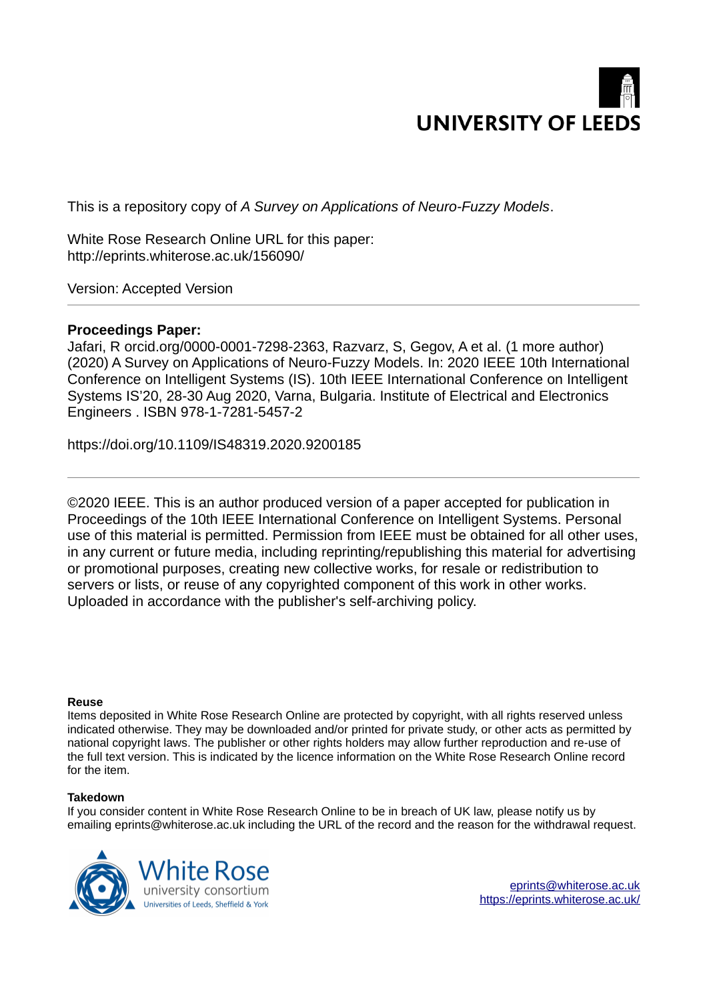

This is a repository copy of *A Survey on Applications of Neuro-Fuzzy Models*.

White Rose Research Online URL for this paper: http://eprints.whiterose.ac.uk/156090/

Version: Accepted Version

## **Proceedings Paper:**

Jafari, R orcid.org/0000-0001-7298-2363, Razvarz, S, Gegov, A et al. (1 more author) (2020) A Survey on Applications of Neuro-Fuzzy Models. In: 2020 IEEE 10th International Conference on Intelligent Systems (IS). 10th IEEE International Conference on Intelligent Systems IS'20, 28-30 Aug 2020, Varna, Bulgaria. Institute of Electrical and Electronics Engineers . ISBN 978-1-7281-5457-2

https://doi.org/10.1109/IS48319.2020.9200185

©2020 IEEE. This is an author produced version of a paper accepted for publication in Proceedings of the 10th IEEE International Conference on Intelligent Systems. Personal use of this material is permitted. Permission from IEEE must be obtained for all other uses, in any current or future media, including reprinting/republishing this material for advertising or promotional purposes, creating new collective works, for resale or redistribution to servers or lists, or reuse of any copyrighted component of this work in other works. Uploaded in accordance with the publisher's self-archiving policy.

## **Reuse**

Items deposited in White Rose Research Online are protected by copyright, with all rights reserved unless indicated otherwise. They may be downloaded and/or printed for private study, or other acts as permitted by national copyright laws. The publisher or other rights holders may allow further reproduction and re-use of the full text version. This is indicated by the licence information on the White Rose Research Online record for the item.

## **Takedown**

If you consider content in White Rose Research Online to be in breach of UK law, please notify us by emailing eprints@whiterose.ac.uk including the URL of the record and the reason for the withdrawal request.

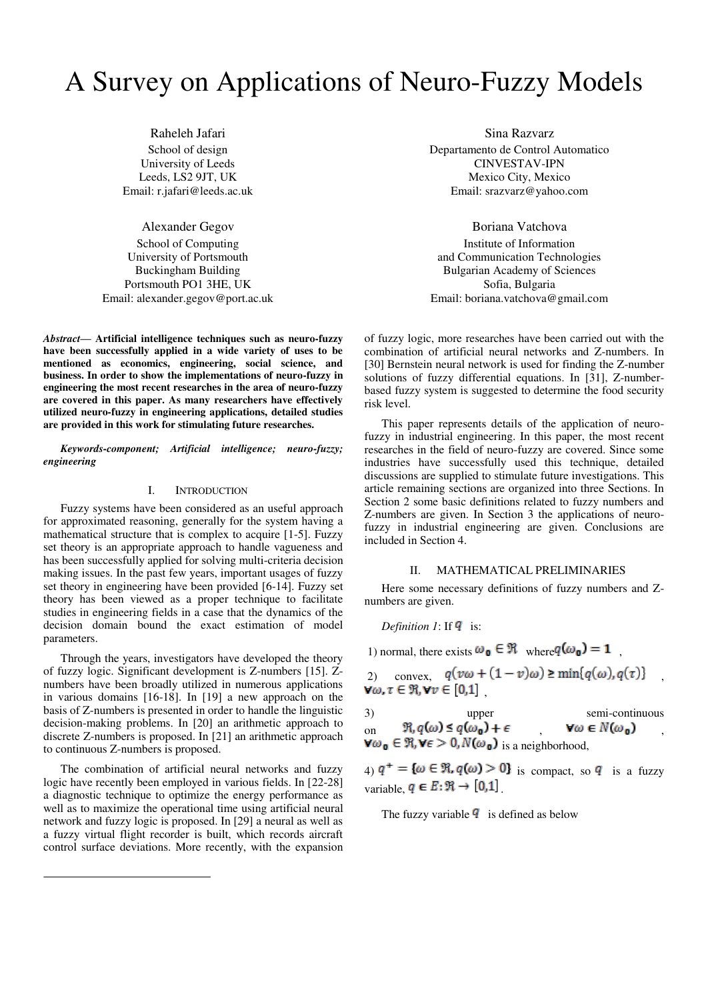# A Survey on Applications of Neuro-Fuzzy Models

Raheleh Jafari School of design University of Leeds Leeds, LS2 9JT, UK Email: [r.jafari@leeds.ac.uk](mailto:r.jafari@leeds.ac.uk) 

Alexander Gegov School of Computing University of Portsmouth Buckingham Building Portsmouth PO1 3HE, UK Email: alexander.gegov@port.ac.uk

*Abstract***— Artificial intelligence techniques such as neuro-fuzzy have been successfully applied in a wide variety of uses to be mentioned as economics, engineering, social science, and business. In order to show the implementations of neuro-fuzzy in engineering the most recent researches in the area of neuro-fuzzy are covered in this paper. As many researchers have effectively utilized neuro-fuzzy in engineering applications, detailed studies are provided in this work for stimulating future researches.** 

*Keywords-component; Artificial intelligence; neuro-fuzzy; engineering* 

#### I. INTRODUCTION

Fuzzy systems have been considered as an useful approach for approximated reasoning, generally for the system having a mathematical structure that is complex to acquire [1-5]. Fuzzy set theory is an appropriate approach to handle vagueness and has been successfully applied for solving multi-criteria decision making issues. In the past few years, important usages of fuzzy set theory in engineering have been provided [6-14]. Fuzzy set theory has been viewed as a proper technique to facilitate studies in engineering fields in a case that the dynamics of the decision domain bound the exact estimation of model parameters.

Through the years, investigators have developed the theory of fuzzy logic. Significant development is Z-numbers [15]. Znumbers have been broadly utilized in numerous applications in various domains [16-18]. In [19] a new approach on the basis of Z-numbers is presented in order to handle the linguistic decision-making problems. In [20] an arithmetic approach to discrete Z-numbers is proposed. In [21] an arithmetic approach to continuous Z-numbers is proposed.

The combination of artificial neural networks and fuzzy logic have recently been employed in various fields. In [22-28] a diagnostic technique to optimize the energy performance as well as to maximize the operational time using artificial neural network and fuzzy logic is proposed. In [29] a neural as well as a fuzzy virtual flight recorder is built, which records aircraft control surface deviations. More recently, with the expansion

Sina Razvarz Departamento de Control Automatico CINVESTAV-IPN Mexico City, Mexico Email: srazvarz@yahoo.com

Boriana Vatchova

Institute of Information and Communication Technologies Bulgarian Academy of Sciences Sofia, Bulgaria Email: boriana.vatchova@gmail.com

of fuzzy logic, more researches have been carried out with the combination of artificial neural networks and Z-numbers. In [30] Bernstein neural network is used for finding the Z-number solutions of fuzzy differential equations. In [31], Z-numberbased fuzzy system is suggested to determine the food security risk level.

This paper represents details of the application of neurofuzzy in industrial engineering. In this paper, the most recent researches in the field of neuro-fuzzy are covered. Since some industries have successfully used this technique, detailed discussions are supplied to stimulate future investigations. This article remaining sections are organized into three Sections. In Section 2 some basic definitions related to fuzzy numbers and Z-numbers are given. In Section 3 the applications of neurofuzzy in industrial engineering are given. Conclusions are included in Section 4.

#### II. MATHEMATICAL PRELIMINARIES

Here some necessary definitions of fuzzy numbers and Znumbers are given.

*Definition 1*: If  $\mathbf{q}$  is:

1) normal, there exists  $\omega_{\mathbf{0}} \in \mathbb{R}$  where  $q(\omega_{\mathbf{0}}) = 1$ .

2) convex, 
$$
q(v\omega + (1 - v)\omega) \ge \min\{q(\omega), q(\tau)\}\
$$
,  
 $\forall \omega, \tau \in \mathbb{R}, \forall v \in [0,1]$ ,

3) upper semi-continuous  
on 
$$
\Re, q(\omega) \le q(\omega_0) + \epsilon
$$
,  $\forall \omega \in N(\omega_0)$ ,  
 $\forall \omega_0 \in \Re, \forall \epsilon > 0, N(\omega_0)$  is a neighborhood,

4)  $q^+ = {\omega \in \mathbb{R}, q(\omega) > 0}$  is compact, so q is a fuzzy variable,  $q \in E: \mathfrak{R} \to [0,1]$ 

The fuzzy variable  $\bf{q}$  is defined as below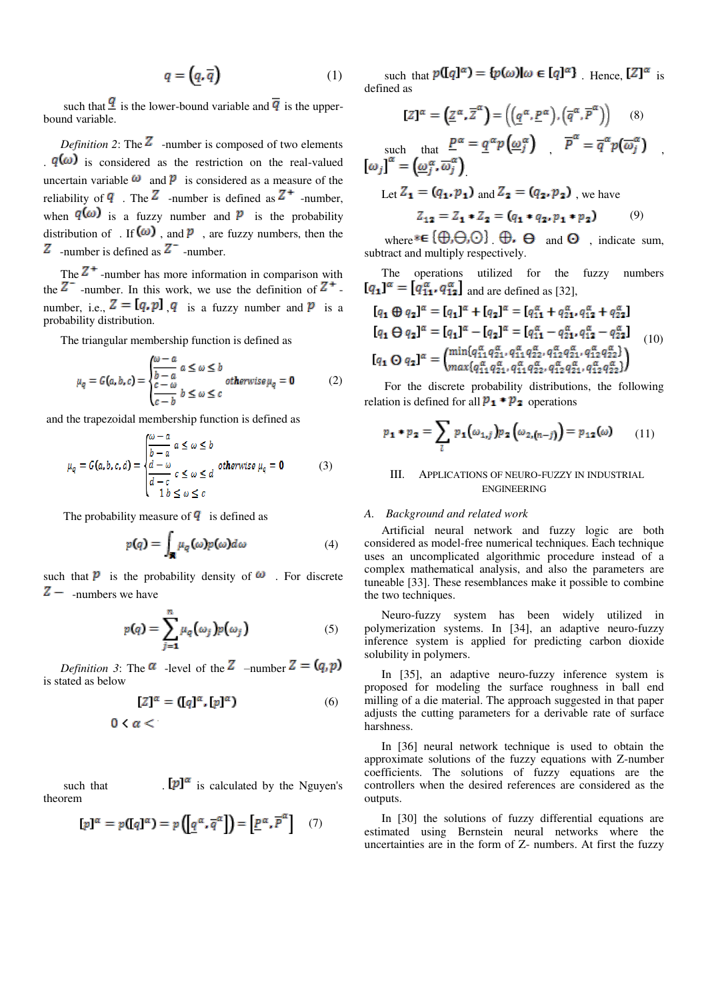$$
q = \left(\underline{q}, \overline{q}\right) \tag{1}
$$

such that  $\frac{q}{q}$  is the lower-bound variable and  $\overline{q}$  is the upperbound variable.

*Definition 2*: The  $\overline{Z}$  -number is composed of two elements  $q(\omega)$  is considered as the restriction on the real-valued uncertain variable  $\omega$  and  $\dot{p}$  is considered as a measure of the reliability of  $\bf{q}$ . The  $\bf{Z}$  -number is defined as  $\bf{Z}^+$  -number, when  $q(\omega)$  is a fuzzy number and  $\hat{p}$  is the probability distribution of . If  $(\omega)$ , and  $\overline{p}$ , are fuzzy numbers, then the  $Z$  -number is defined as  $Z$ <sup>-</sup> -number.

The  $Z^+$ -number has more information in comparison with the  $Z^-$  -number. In this work, we use the definition of  $Z^+$ . number, i.e.,  $Z = [q, p]$  q is a fuzzy number and P is a probability distribution.

The triangular membership function is defined as

$$
\mu_q = G(a, b, c) = \begin{cases} \frac{\omega - a}{b - a} & a \le \omega \le b \\ \frac{c - \omega}{c - b} & b \le \omega \le c \end{cases} \text{ otherwise } \mu_q = \mathbf{0} \tag{2}
$$

and the trapezoidal membership function is defined as

$$
\mu_q = G(a, b, c, d) = \begin{cases} \frac{\omega - a}{b - a} & a \le \omega \le b \\ \frac{d - \omega}{d - c} & c \le \omega \le d \end{cases} \text{ otherwise } \mu_q = \mathbf{0} \tag{3}
$$

The probability measure of  $\overline{q}$  is defined as

$$
p(q) = \int_{\mathbf{R}} \mu_q(\omega) p(\omega) d\omega \tag{4}
$$

such that  $\overline{p}$  is the probability density of  $\omega$ . For discrete  $Z$  - numbers we have

$$
p(q) = \sum_{j=1}^{n} \mu_q(\omega_j) p(\omega_j)
$$
 (5)

*Definition 3*: The  $\alpha$  -level of the  $Z$  –number  $Z = (q, p)$ is stated as below

$$
[Z]^{\alpha} = ([q]^{\alpha}, [p]^{\alpha})
$$
 (6)  
 
$$
0 < \alpha < 0
$$

such that  $[p]^{\alpha}$  is calculated by the Nguyen's theorem

$$
[p]^\alpha=p([q]^\alpha)=p\left(\left[\underline{q}^\alpha,\overline{q}^\alpha\right]\right)=\left[\underline{p}^\alpha,\overline{p}^\alpha\right]\quad(7)
$$

such that  $p(\llbracket q \rrbracket^{\alpha}) = \{p(\omega)\}\omega \in [q]^{\alpha}\}$ . Hence,  $\llbracket Z \rrbracket^{\alpha}$  is defined as

$$
[Z]^{\alpha} = (\underline{Z}^{\alpha}, \overline{Z}^{\alpha}) = ((\underline{q}^{\alpha}, \underline{P}^{\alpha}), (\overline{q}^{\alpha}, \overline{P}^{\alpha})) \quad (8)
$$
  
such that  $\underline{P}^{\alpha} = \underline{q}^{\alpha} p(\underline{\omega}_{j}^{\alpha}) \qquad \overline{P}^{\alpha} = \overline{q}^{\alpha} p(\overline{\omega}_{j}^{\alpha})$   

$$
[\omega_{j}]^{\alpha} = (\underline{\omega}_{j}^{\alpha}, \overline{\omega}_{j}^{\alpha})
$$
  
Let  $Z_{1} = (q_{1}, p_{1})$  and  $Z_{2} = (q_{2}, p_{2})$ , we have  
 $Z_{12} = Z_{1} * Z_{2} = (q_{1} * q_{2}, p_{1} * p_{2}) \quad (9)$ 

where  $\{\oplus,\ominus,\odot\}$   $\oplus$   $\ominus$  and  $\odot$ , indicate sum, subtract and multiply respectively.

The operations utilized for the fuzzy numbers  $[q_1]^\alpha = [q_{11}^\alpha, q_{12}^\alpha]$  and are defined as [32],

$$
[q_1 \oplus q_2]^{\alpha} = [q_1]^{\alpha} + [q_2]^{\alpha} = [q_1^{\alpha} + q_{21}^{\alpha}, q_{12}^{\alpha} + q_{22}^{\alpha}]
$$
  
\n
$$
[q_1 \ominus q_2]^{\alpha} = [q_1]^{\alpha} - [q_2]^{\alpha} = [q_{11}^{\alpha} - q_{21}^{\alpha}, q_{12}^{\alpha} - q_{22}^{\alpha}]
$$
  
\n
$$
[q_1 \ominus q_2]^{\alpha} = \begin{pmatrix} \min\{q_{11}^{\alpha} q_{21}^{\alpha}, q_{11}^{\alpha} q_{22}^{\alpha}, q_{12}^{\alpha} q_{21}^{\alpha}, q_{12}^{\alpha} q_{22}^{\alpha} \} \\ \max\{q_{11}^{\alpha} q_{21}^{\alpha}, q_{11}^{\alpha} q_{22}^{\alpha}, q_{12}^{\alpha} q_{21}^{\alpha}, q_{12}^{\alpha} q_{22}^{\alpha} \} \end{pmatrix}
$$
 (10)

 For the discrete probability distributions, the following relation is defined for all  $\mathbf{p_1} * \mathbf{p_2}$  operations

$$
p_{1} \cdot p_{2} = \sum_{l} p_{1}(\omega_{1,j}) p_{2}(\omega_{2,(n-j)}) = p_{12}(\omega) \qquad (11)
$$

### III. APPLICATIONS OF NEURO-FUZZY IN INDUSTRIAL ENGINEERING

#### *A. Background and related work*

Artificial neural network and fuzzy logic are both considered as model-free numerical techniques. Each technique uses an uncomplicated algorithmic procedure instead of a complex mathematical analysis, and also the parameters are tuneable [33]. These resemblances make it possible to combine the two techniques.

Neuro-fuzzy system has been widely utilized in polymerization systems. In [34], an adaptive neuro-fuzzy inference system is applied for predicting carbon dioxide solubility in polymers.

In [35], an adaptive neuro-fuzzy inference system is proposed for modeling the surface roughness in ball end milling of a die material. The approach suggested in that paper adjusts the cutting parameters for a derivable rate of surface harshness.

In [36] neural network technique is used to obtain the approximate solutions of the fuzzy equations with Z-number coefficients. The solutions of fuzzy equations are the controllers when the desired references are considered as the outputs.

In [30] the solutions of fuzzy differential equations are estimated using Bernstein neural networks where the uncertainties are in the form of Z- numbers. At first the fuzzy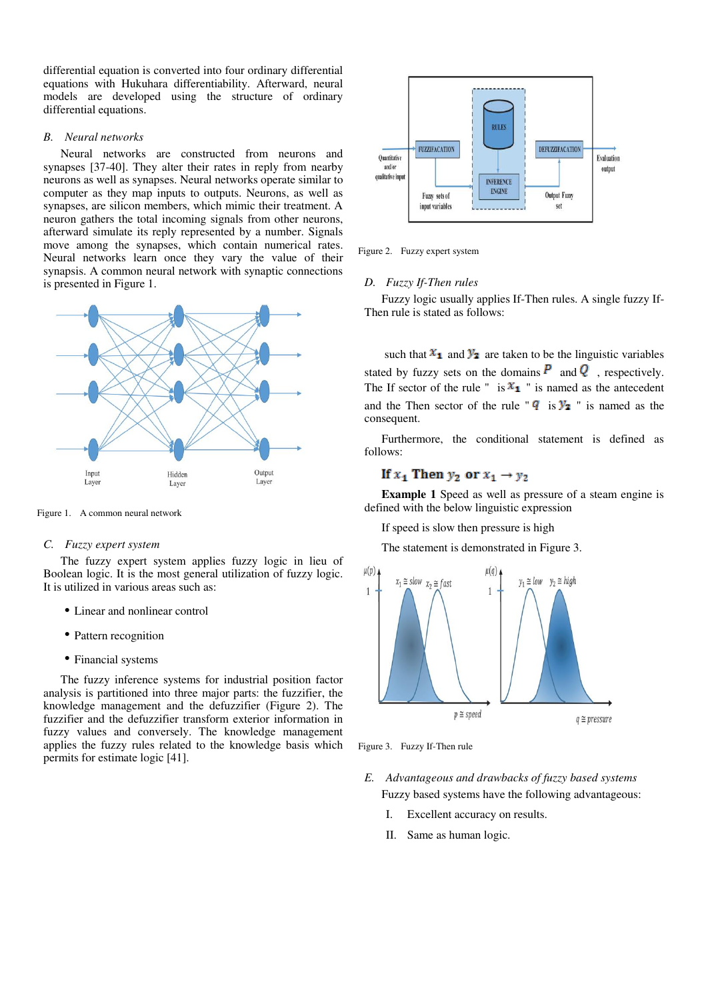differential equation is converted into four ordinary differential equations with Hukuhara differentiability. Afterward, neural models are developed using the structure of ordinary differential equations.

#### *B. Neural networks*

Neural networks are constructed from neurons and synapses [37-40]. They alter their rates in reply from nearby neurons as well as synapses. Neural networks operate similar to computer as they map inputs to outputs. Neurons, as well as synapses, are silicon members, which mimic their treatment. A neuron gathers the total incoming signals from other neurons, afterward simulate its reply represented by a number. Signals move among the synapses, which contain numerical rates. Neural networks learn once they vary the value of their synapsis. A common neural network with synaptic connections is presented in Figure 1.



Figure 1. A common neural network

#### *C. Fuzzy expert system*

The fuzzy expert system applies fuzzy logic in lieu of Boolean logic. It is the most general utilization of fuzzy logic. It is utilized in various areas such as:

- Linear and nonlinear control
- Pattern recognition
- Financial systems

The fuzzy inference systems for industrial position factor analysis is partitioned into three major parts: the fuzzifier, the knowledge management and the defuzzifier (Figure 2). The fuzzifier and the defuzzifier transform exterior information in fuzzy values and conversely. The knowledge management applies the fuzzy rules related to the knowledge basis which permits for estimate logic [41].



Figure 2. Fuzzy expert system

#### *D. Fuzzy If-Then rules*

Fuzzy logic usually applies If-Then rules. A single fuzzy If-Then rule is stated as follows:

such that  $x_1$  and  $y_2$  are taken to be the linguistic variables stated by fuzzy sets on the domains  $\overline{P}$  and  $\overline{Q}$ , respectively. The If sector of the rule " is  $x_1$  " is named as the antecedent and the Then sector of the rule " $\overline{q}$  is  $\overline{y_2}$ " is named as the consequent.

Furthermore, the conditional statement is defined as follows:

## If  $x_1$  Then  $y_2$  or  $x_1 \rightarrow y_2$

**Example 1** Speed as well as pressure of a steam engine is defined with the below linguistic expression

If speed is slow then pressure is high

The statement is demonstrated in Figure 3.



Figure 3. Fuzzy If-Then rule

- *E. Advantageous and drawbacks of fuzzy based systems* Fuzzy based systems have the following advantageous:
	- I. Excellent accuracy on results.
	- II. Same as human logic.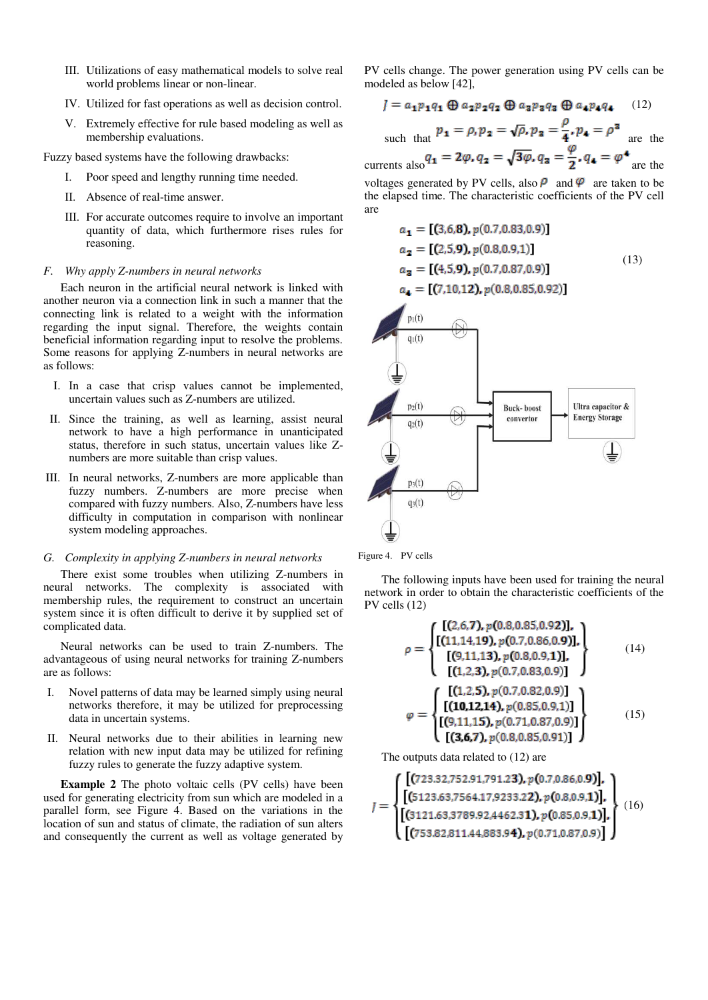- III. Utilizations of easy mathematical models to solve real world problems linear or non-linear.
- IV. Utilized for fast operations as well as decision control.
- V. Extremely effective for rule based modeling as well as membership evaluations.

Fuzzy based systems have the following drawbacks:

- I. Poor speed and lengthy running time needed.
- II. Absence of real-time answer.
- III. For accurate outcomes require to involve an important quantity of data, which furthermore rises rules for reasoning.

#### *F. Why apply Z-numbers in neural networks*

Each neuron in the artificial neural network is linked with another neuron via a connection link in such a manner that the connecting link is related to a weight with the information regarding the input signal. Therefore, the weights contain beneficial information regarding input to resolve the problems. Some reasons for applying Z-numbers in neural networks are as follows:

- I. In a case that crisp values cannot be implemented, uncertain values such as Z-numbers are utilized.
- II. Since the training, as well as learning, assist neural network to have a high performance in unanticipated status, therefore in such status, uncertain values like Znumbers are more suitable than crisp values.
- III. In neural networks, Z-numbers are more applicable than fuzzy numbers. Z-numbers are more precise when compared with fuzzy numbers. Also, Z-numbers have less difficulty in computation in comparison with nonlinear system modeling approaches.

#### *G. Complexity in applying Z-numbers in neural networks*

There exist some troubles when utilizing Z-numbers in neural networks. The complexity is associated with membership rules, the requirement to construct an uncertain system since it is often difficult to derive it by supplied set of complicated data.

Neural networks can be used to train Z-numbers. The advantageous of using neural networks for training Z-numbers are as follows:

- Novel patterns of data may be learned simply using neural networks therefore, it may be utilized for preprocessing data in uncertain systems.
- II. Neural networks due to their abilities in learning new relation with new input data may be utilized for refining fuzzy rules to generate the fuzzy adaptive system.

**Example 2** The photo voltaic cells (PV cells) have been used for generating electricity from sun which are modeled in a parallel form, see Figure 4. Based on the variations in the location of sun and status of climate, the radiation of sun alters and consequently the current as well as voltage generated by

PV cells change. The power generation using PV cells can be modeled as below [42],

$$
J = a_1 p_1 q_1 \oplus a_2 p_2 q_2 \oplus a_3 p_3 q_3 \oplus a_4 p_4 q_4 \qquad (12)
$$

such that  $p_1 = \rho, p_2 = \sqrt{\rho}, p_3 = \frac{\rho}{4}, p_4 = \rho^3$  are the

currents also  $q_1 = 2\varphi$ ,  $q_2 = \sqrt{3\varphi}$ ,  $q_3 = \frac{\varphi}{2}$ ,  $q_4 = \varphi^4$  are the

voltages generated by PV cells, also  $\rho$  and  $\varphi$  are taken to be the elapsed time. The characteristic coefficients of the PV cell are

$$
a_1 = [(3.6.8), p(0.7, 0.83, 0.9)]
$$
  
\n
$$
a_2 = [(2.5.9), p(0.8, 0.9, 1)]
$$
  
\n
$$
a_3 = [(4.5.9), p(0.7, 0.87, 0.9)]
$$
  
\n
$$
a_4 = [7.10.12), p(0.8, 0.85, 0.92)]
$$
  
\n(13)





The following inputs have been used for training the neural network in order to obtain the characteristic coefficients of the PV cells (12)

$$
\rho = \begin{cases}\n[(2,6,7), p(0.8, 0.85, 0.92)], \\
[(11, 14, 19), p(0.7, 0.86, 0.9)], \\
[(9,11, 13), p(0.8, 0.9, 1)], \\
[(1,2,3), p(0.7, 0.83, 0.9)]\n\end{cases}
$$
\n(14)\n
$$
\varphi = \begin{cases}\n[(1,2,5), p(0.7, 0.82, 0.9)] \\
[(10,12,14), p(0.85, 0.9, 1)] \\
[(9,11,15), p(0.71, 0.87, 0.9)] \\
[(3,6,7), p(0.8, 0.85, 0.91)]\n\end{cases}
$$
\n(15)

The outputs data related to (12) are

$$
J = \left\{ \begin{aligned} &\left[ (723.32.752.91.791.23), p(0.7,0.86,0.9)], \right. \\ &\left[ (5123.63.7564.17.9233.22), p(0.8,0.9,1)], \right. \\ &\left. \left[ (3121.63.3789.92.4462.31), p(0.85,0.9,1)], \right. \\ &\left. \left[ (753.82.811.44.883.94), p(0.71,0.87,0.9) \right] \right\} \end{aligned} \right\} \right\} \right\} \right\}
$$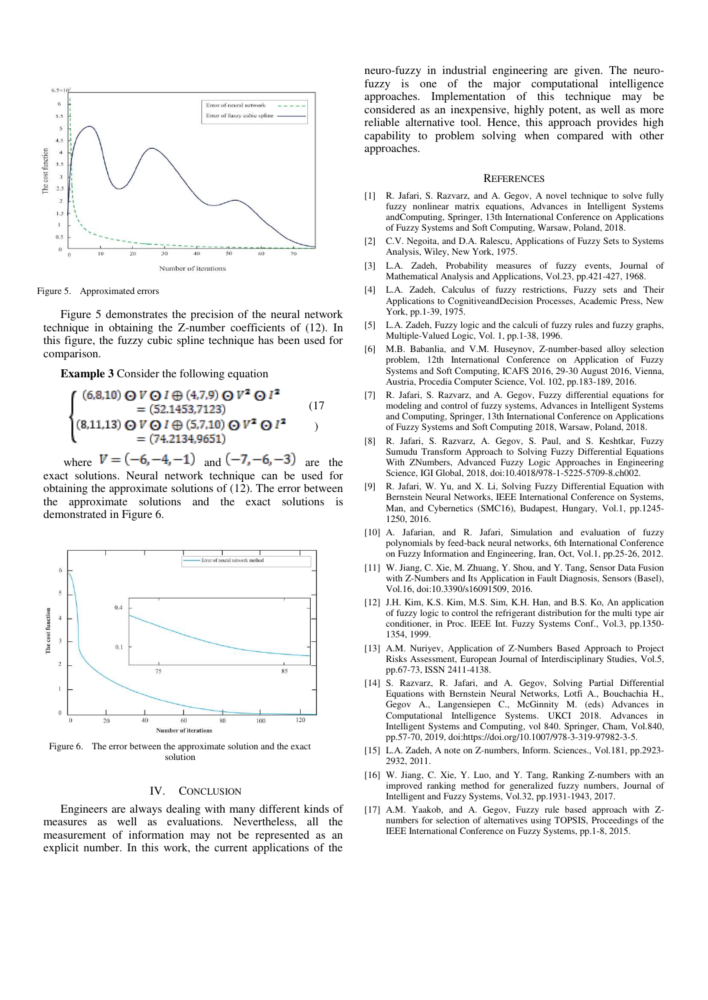

Figure 5. Approximated errors

Figure 5 demonstrates the precision of the neural network technique in obtaining the Z-number coefficients of (12). In this figure, the fuzzy cubic spline technique has been used for comparison.

**Example 3** Consider the following equation

$$
\begin{cases}\n(6,8,10) \bigcirc V \bigcirc I \oplus (4,7,9) \bigcirc V^2 \bigcirc I^2 \\
= (52,1453,7123) \\
(8,11,13) \bigcirc V \bigcirc I \oplus (5,7,10) \bigcirc V^2 \bigcirc I^2 \\
= (74,2134,9651)\n\end{cases}
$$
\n(17)

where  $V = (-6, -4, -1)$  and  $(-7, -6, -3)$  are the exact solutions. Neural network technique can be used for obtaining the approximate solutions of (12). The error between the approximate solutions and the exact solutions is demonstrated in Figure 6.



Figure 6. The error between the approximate solution and the exact solution

#### IV. CONCLUSION

Engineers are always dealing with many different kinds of measures as well as evaluations. Nevertheless, all the measurement of information may not be represented as an explicit number. In this work, the current applications of the

neuro-fuzzy in industrial engineering are given. The neurofuzzy is one of the major computational intelligence approaches. Implementation of this technique may be considered as an inexpensive, highly potent, as well as more reliable alternative tool. Hence, this approach provides high capability to problem solving when compared with other approaches.

#### **REFERENCES**

- [1] R. Jafari, S. Razvarz, and A. Gegov, A novel technique to solve fully fuzzy nonlinear matrix equations, Advances in Intelligent Systems andComputing, Springer, 13th International Conference on Applications of Fuzzy Systems and Soft Computing, Warsaw, Poland, 2018.
- [2] C.V. Negoita, and D.A. Ralescu, Applications of Fuzzy Sets to Systems Analysis, Wiley, New York, 1975.
- [3] L.A. Zadeh, Probability measures of fuzzy events, Journal of Mathematical Analysis and Applications, Vol.23, pp.421-427, 1968.
- [4] L.A. Zadeh, Calculus of fuzzy restrictions, Fuzzy sets and Their Applications to CognitiveandDecision Processes, Academic Press, New York, pp.1-39, 1975.
- [5] L.A. Zadeh, Fuzzy logic and the calculi of fuzzy rules and fuzzy graphs, Multiple-Valued Logic, Vol. 1, pp.1-38, 1996.
- [6] M.B. Babanlia, and V.M. Huseynov, Z-number-based alloy selection problem, 12th International Conference on Application of Fuzzy Systems and Soft Computing, ICAFS 2016, 29-30 August 2016, Vienna, Austria, Procedia Computer Science, Vol. 102, pp.183-189, 2016.
- [7] R. Jafari, S. Razvarz, and A. Gegov, Fuzzy differential equations for modeling and control of fuzzy systems, Advances in Intelligent Systems and Computing, Springer, 13th International Conference on Applications of Fuzzy Systems and Soft Computing 2018, Warsaw, Poland, 2018.
- [8] R. Jafari, S. Razvarz, A. Gegov, S. Paul, and S. Keshtkar, Fuzzy Sumudu Transform Approach to Solving Fuzzy Differential Equations With ZNumbers, Advanced Fuzzy Logic Approaches in Engineering Science, IGI Global, 2018, doi:10.4018/978-1-5225-5709-8.ch002.
- [9] R. Jafari, W. Yu, and X. Li, Solving Fuzzy Differential Equation with Bernstein Neural Networks, IEEE International Conference on Systems, Man, and Cybernetics (SMC16), Budapest, Hungary, Vol.1, pp.1245- 1250, 2016.
- [10] A. Jafarian, and R. Jafari, Simulation and evaluation of fuzzy polynomials by feed-back neural networks, 6th International Conference on Fuzzy Information and Engineering, Iran, Oct, Vol.1, pp.25-26, 2012.
- [11] W. Jiang, C. Xie, M. Zhuang, Y. Shou, and Y. Tang, Sensor Data Fusion with Z-Numbers and Its Application in Fault Diagnosis, Sensors (Basel), Vol.16, doi:10.3390/s16091509, 2016.
- [12] J.H. Kim, K.S. Kim, M.S. Sim, K.H. Han, and B.S. Ko, An application of fuzzy logic to control the refrigerant distribution for the multi type air conditioner, in Proc. IEEE Int. Fuzzy Systems Conf., Vol.3, pp.1350- 1354, 1999.
- [13] A.M. Nuriyev, Application of Z-Numbers Based Approach to Project Risks Assessment, European Journal of Interdisciplinary Studies, Vol.5, pp.67-73, ISSN 2411-4138.
- [14] S. Razvarz, R. Jafari, and A. Gegov, Solving Partial Differential Equations with Bernstein Neural Networks, Lotfi A., Bouchachia H., Gegov A., Langensiepen C., McGinnity M. (eds) Advances in Computational Intelligence Systems. UKCI 2018. Advances in Intelligent Systems and Computing, vol 840. Springer, Cham, Vol.840, pp.57-70, 2019, doi:https://doi.org/10.1007/978-3-319-97982-3-5.
- [15] L.A. Zadeh, A note on Z-numbers, Inform. Sciences., Vol.181, pp.2923-2932, 2011.
- [16] W. Jiang, C. Xie, Y. Luo, and Y. Tang, Ranking Z-numbers with an improved ranking method for generalized fuzzy numbers, Journal of Intelligent and Fuzzy Systems, Vol.32, pp.1931-1943, 2017.
- [17] A.M. Yaakob, and A. Gegov, Fuzzy rule based approach with Znumbers for selection of alternatives using TOPSIS, Proceedings of the IEEE International Conference on Fuzzy Systems, pp.1-8, 2015.